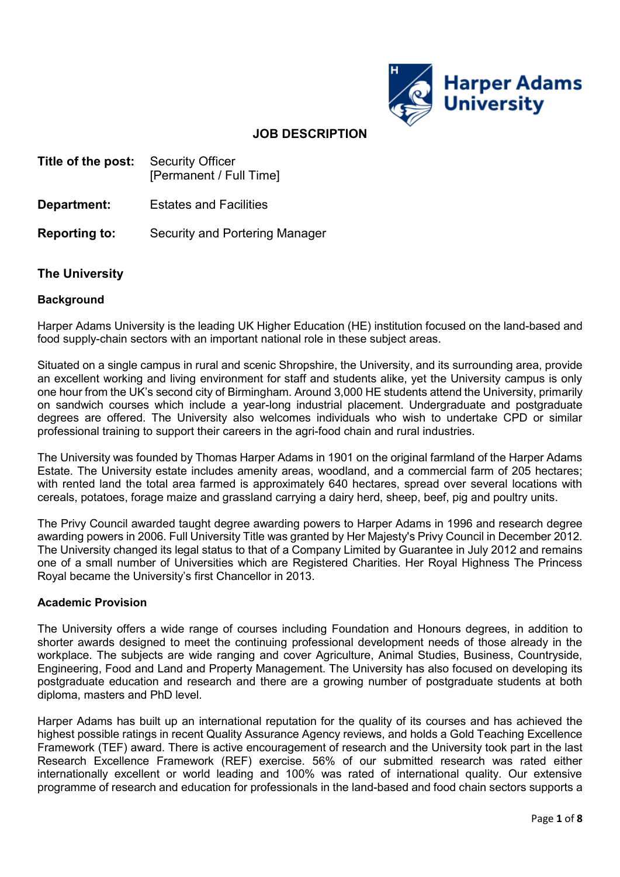

# **JOB DESCRIPTION**

- **Title of the post:** Security Officer [Permanent / Full Time]
- **Department:** Estates and Facilities
- **Reporting to:** Security and Portering Manager

## **The University**

### **Background**

Harper Adams University is the leading UK Higher Education (HE) institution focused on the land-based and food supply-chain sectors with an important national role in these subject areas.

Situated on a single campus in rural and scenic Shropshire, the University, and its surrounding area, provide an excellent working and living environment for staff and students alike, yet the University campus is only one hour from the UK's second city of Birmingham. Around 3,000 HE students attend the University, primarily on sandwich courses which include a year-long industrial placement. Undergraduate and postgraduate degrees are offered. The University also welcomes individuals who wish to undertake CPD or similar professional training to support their careers in the agri-food chain and rural industries.

The University was founded by Thomas Harper Adams in 1901 on the original farmland of the Harper Adams Estate. The University estate includes amenity areas, woodland, and a commercial farm of 205 hectares; with rented land the total area farmed is approximately 640 hectares, spread over several locations with cereals, potatoes, forage maize and grassland carrying a dairy herd, sheep, beef, pig and poultry units.

The Privy Council awarded taught degree awarding powers to Harper Adams in 1996 and research degree awarding powers in 2006. Full University Title was granted by Her Majesty's Privy Council in December 2012. The University changed its legal status to that of a Company Limited by Guarantee in July 2012 and remains one of a small number of Universities which are Registered Charities. Her Royal Highness The Princess Royal became the University's first Chancellor in 2013.

#### **Academic Provision**

The University offers a wide range of courses including Foundation and Honours degrees, in addition to shorter awards designed to meet the continuing professional development needs of those already in the workplace. The subjects are wide ranging and cover Agriculture, Animal Studies, Business, Countryside, Engineering, Food and Land and Property Management. The University has also focused on developing its postgraduate education and research and there are a growing number of postgraduate students at both diploma, masters and PhD level.

Harper Adams has built up an international reputation for the quality of its courses and has achieved the highest possible ratings in recent Quality Assurance Agency reviews, and holds a Gold Teaching Excellence Framework (TEF) award. There is active encouragement of research and the University took part in the last Research Excellence Framework (REF) exercise. 56% of our submitted research was rated either internationally excellent or world leading and 100% was rated of international quality. Our extensive programme of research and education for professionals in the land-based and food chain sectors supports a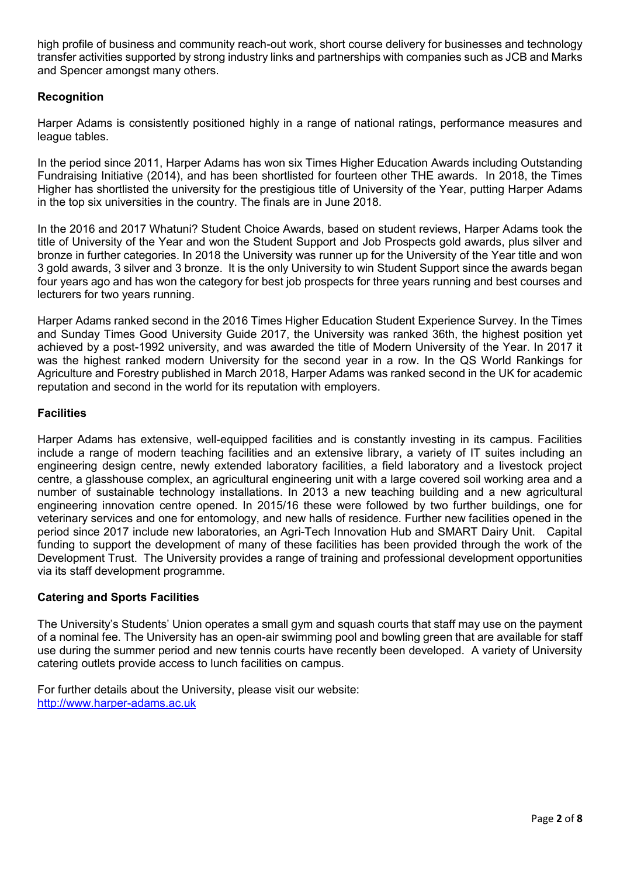high profile of business and community reach-out work, short course delivery for businesses and technology transfer activities supported by strong industry links and partnerships with companies such as JCB and Marks and Spencer amongst many others.

# **Recognition**

Harper Adams is consistently positioned highly in a range of national ratings, performance measures and league tables.

In the period since 2011, Harper Adams has won six Times Higher Education Awards including Outstanding Fundraising Initiative (2014), and has been shortlisted for fourteen other THE awards. In 2018, the Times Higher has shortlisted the university for the prestigious title of University of the Year, putting Harper Adams in the top six universities in the country. The finals are in June 2018.

In the 2016 and 2017 Whatuni? Student Choice Awards, based on student reviews, Harper Adams took the title of University of the Year and won the Student Support and Job Prospects gold awards, plus silver and bronze in further categories. In 2018 the University was runner up for the University of the Year title and won 3 gold awards, 3 silver and 3 bronze. It is the only University to win Student Support since the awards began four years ago and has won the category for best job prospects for three years running and best courses and lecturers for two years running.

Harper Adams ranked second in the 2016 Times Higher Education Student Experience Survey. In the Times and Sunday Times Good University Guide 2017, the University was ranked 36th, the highest position yet achieved by a post-1992 university, and was awarded the title of Modern University of the Year. In 2017 it was the highest ranked modern University for the second year in a row. In the QS World Rankings for Agriculture and Forestry published in March 2018, Harper Adams was ranked second in the UK for academic reputation and second in the world for its reputation with employers.

## **Facilities**

Harper Adams has extensive, well-equipped facilities and is constantly investing in its campus. Facilities include a range of modern teaching facilities and an extensive library, a variety of IT suites including an engineering design centre, newly extended laboratory facilities, a field laboratory and a livestock project centre, a glasshouse complex, an agricultural engineering unit with a large covered soil working area and a number of sustainable technology installations. In 2013 a new teaching building and a new agricultural engineering innovation centre opened. In 2015/16 these were followed by two further buildings, one for veterinary services and one for entomology, and new halls of residence. Further new facilities opened in the period since 2017 include new laboratories, an Agri-Tech Innovation Hub and SMART Dairy Unit. Capital funding to support the development of many of these facilities has been provided through the work of the Development Trust. The University provides a range of training and professional development opportunities via its staff development programme.

## **Catering and Sports Facilities**

The University's Students' Union operates a small gym and squash courts that staff may use on the payment of a nominal fee. The University has an open-air swimming pool and bowling green that are available for staff use during the summer period and new tennis courts have recently been developed. A variety of University catering outlets provide access to lunch facilities on campus.

For further details about the University, please visit our website: [http://www.harper-adams.ac.uk](http://www.harper-adams.ac.uk/)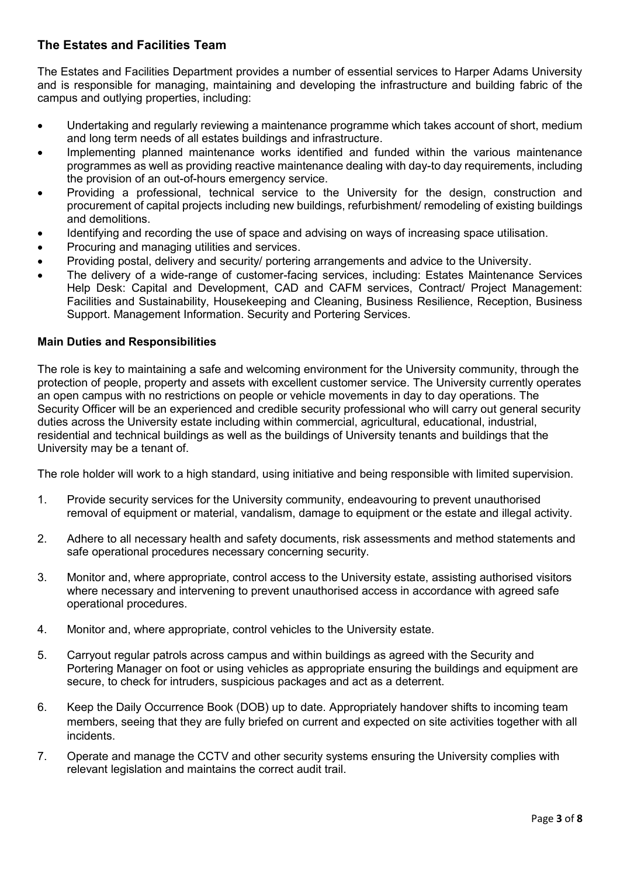# **The Estates and Facilities Team**

The Estates and Facilities Department provides a number of essential services to Harper Adams University and is responsible for managing, maintaining and developing the infrastructure and building fabric of the campus and outlying properties, including:

- Undertaking and regularly reviewing a maintenance programme which takes account of short, medium and long term needs of all estates buildings and infrastructure.
- Implementing planned maintenance works identified and funded within the various maintenance programmes as well as providing reactive maintenance dealing with day-to day requirements, including the provision of an out-of-hours emergency service.
- Providing a professional, technical service to the University for the design, construction and procurement of capital projects including new buildings, refurbishment/ remodeling of existing buildings and demolitions.
- Identifying and recording the use of space and advising on ways of increasing space utilisation.
- Procuring and managing utilities and services.
- Providing postal, delivery and security/ portering arrangements and advice to the University.
- The delivery of a wide-range of customer-facing services, including: Estates Maintenance Services Help Desk: Capital and Development, CAD and CAFM services, Contract/ Project Management: Facilities and Sustainability, Housekeeping and Cleaning, Business Resilience, Reception, Business Support. Management Information. Security and Portering Services.

## **Main Duties and Responsibilities**

The role is key to maintaining a safe and welcoming environment for the University community, through the protection of people, property and assets with excellent customer service. The University currently operates an open campus with no restrictions on people or vehicle movements in day to day operations. The Security Officer will be an experienced and credible security professional who will carry out general security duties across the University estate including within commercial, agricultural, educational, industrial, residential and technical buildings as well as the buildings of University tenants and buildings that the University may be a tenant of.

The role holder will work to a high standard, using initiative and being responsible with limited supervision.

- 1. Provide security services for the University community, endeavouring to prevent unauthorised removal of equipment or material, vandalism, damage to equipment or the estate and illegal activity.
- 2. Adhere to all necessary health and safety documents, risk assessments and method statements and safe operational procedures necessary concerning security.
- 3. Monitor and, where appropriate, control access to the University estate, assisting authorised visitors where necessary and intervening to prevent unauthorised access in accordance with agreed safe operational procedures.
- 4. Monitor and, where appropriate, control vehicles to the University estate.
- 5. Carryout regular patrols across campus and within buildings as agreed with the Security and Portering Manager on foot or using vehicles as appropriate ensuring the buildings and equipment are secure, to check for intruders, suspicious packages and act as a deterrent.
- 6. Keep the Daily Occurrence Book (DOB) up to date. Appropriately handover shifts to incoming team members, seeing that they are fully briefed on current and expected on site activities together with all incidents.
- 7. Operate and manage the CCTV and other security systems ensuring the University complies with relevant legislation and maintains the correct audit trail.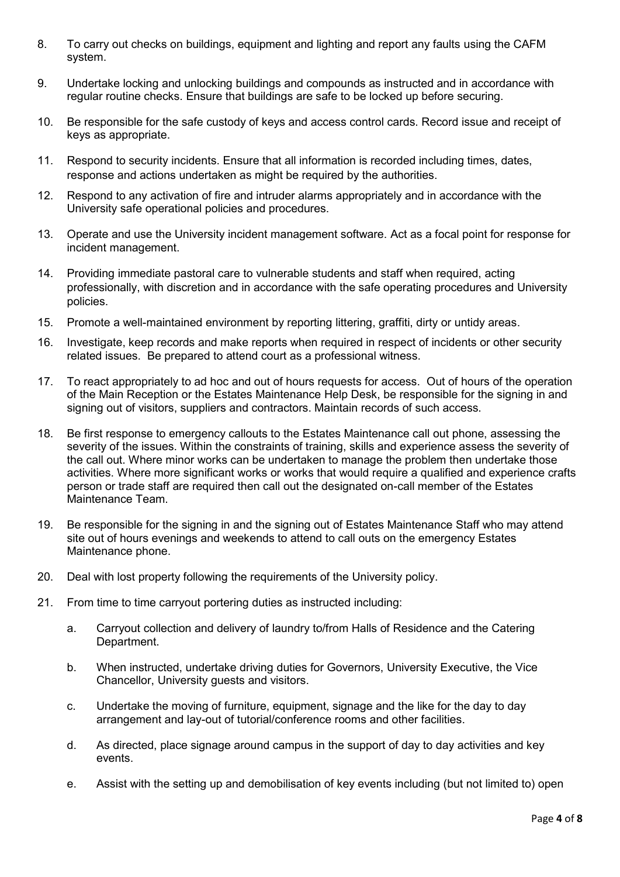- 8. To carry out checks on buildings, equipment and lighting and report any faults using the CAFM system.
- 9. Undertake locking and unlocking buildings and compounds as instructed and in accordance with regular routine checks. Ensure that buildings are safe to be locked up before securing.
- 10. Be responsible for the safe custody of keys and access control cards. Record issue and receipt of keys as appropriate.
- 11. Respond to security incidents. Ensure that all information is recorded including times, dates, response and actions undertaken as might be required by the authorities.
- 12. Respond to any activation of fire and intruder alarms appropriately and in accordance with the University safe operational policies and procedures.
- 13. Operate and use the University incident management software. Act as a focal point for response for incident management.
- 14. Providing immediate pastoral care to vulnerable students and staff when required, acting professionally, with discretion and in accordance with the safe operating procedures and University policies.
- 15. Promote a well-maintained environment by reporting littering, graffiti, dirty or untidy areas.
- 16. Investigate, keep records and make reports when required in respect of incidents or other security related issues. Be prepared to attend court as a professional witness.
- 17. To react appropriately to ad hoc and out of hours requests for access. Out of hours of the operation of the Main Reception or the Estates Maintenance Help Desk, be responsible for the signing in and signing out of visitors, suppliers and contractors. Maintain records of such access.
- 18. Be first response to emergency callouts to the Estates Maintenance call out phone, assessing the severity of the issues. Within the constraints of training, skills and experience assess the severity of the call out. Where minor works can be undertaken to manage the problem then undertake those activities. Where more significant works or works that would require a qualified and experience crafts person or trade staff are required then call out the designated on-call member of the Estates Maintenance Team.
- 19. Be responsible for the signing in and the signing out of Estates Maintenance Staff who may attend site out of hours evenings and weekends to attend to call outs on the emergency Estates Maintenance phone.
- 20. Deal with lost property following the requirements of the University policy.
- 21. From time to time carryout portering duties as instructed including:
	- a. Carryout collection and delivery of laundry to/from Halls of Residence and the Catering Department.
	- b. When instructed, undertake driving duties for Governors, University Executive, the Vice Chancellor, University guests and visitors.
	- c. Undertake the moving of furniture, equipment, signage and the like for the day to day arrangement and lay-out of tutorial/conference rooms and other facilities.
	- d. As directed, place signage around campus in the support of day to day activities and key events.
	- e. Assist with the setting up and demobilisation of key events including (but not limited to) open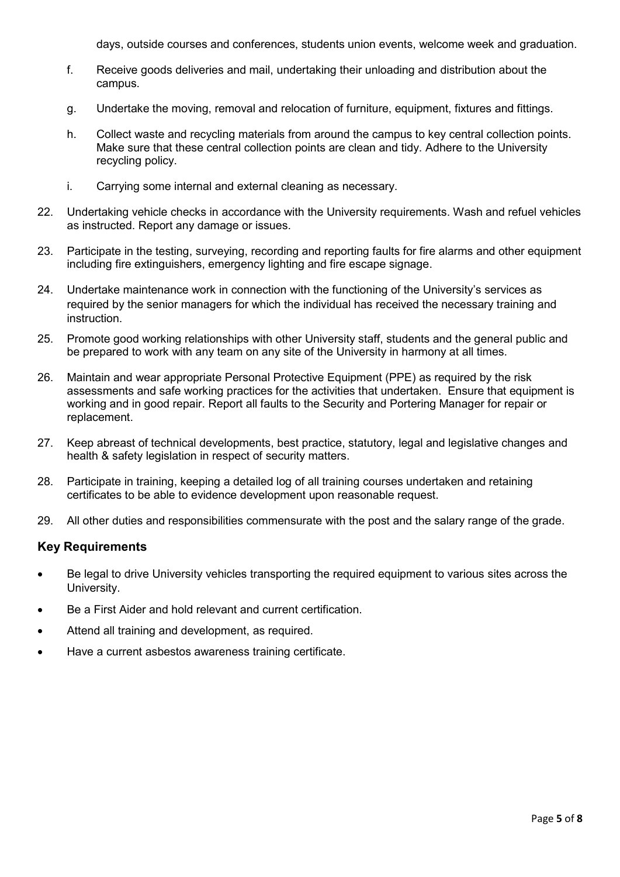days, outside courses and conferences, students union events, welcome week and graduation.

- f. Receive goods deliveries and mail, undertaking their unloading and distribution about the campus.
- g. Undertake the moving, removal and relocation of furniture, equipment, fixtures and fittings.
- h. Collect waste and recycling materials from around the campus to key central collection points. Make sure that these central collection points are clean and tidy. Adhere to the University recycling policy.
- i. Carrying some internal and external cleaning as necessary.
- 22. Undertaking vehicle checks in accordance with the University requirements. Wash and refuel vehicles as instructed. Report any damage or issues.
- 23. Participate in the testing, surveying, recording and reporting faults for fire alarms and other equipment including fire extinguishers, emergency lighting and fire escape signage.
- 24. Undertake maintenance work in connection with the functioning of the University's services as required by the senior managers for which the individual has received the necessary training and instruction.
- 25. Promote good working relationships with other University staff, students and the general public and be prepared to work with any team on any site of the University in harmony at all times.
- 26. Maintain and wear appropriate Personal Protective Equipment (PPE) as required by the risk assessments and safe working practices for the activities that undertaken. Ensure that equipment is working and in good repair. Report all faults to the Security and Portering Manager for repair or replacement.
- 27. Keep abreast of technical developments, best practice, statutory, legal and legislative changes and health & safety legislation in respect of security matters.
- 28. Participate in training, keeping a detailed log of all training courses undertaken and retaining certificates to be able to evidence development upon reasonable request.
- 29. All other duties and responsibilities commensurate with the post and the salary range of the grade.

## **Key Requirements**

- Be legal to drive University vehicles transporting the required equipment to various sites across the University.
- Be a First Aider and hold relevant and current certification.
- Attend all training and development, as required.
- Have a current asbestos awareness training certificate.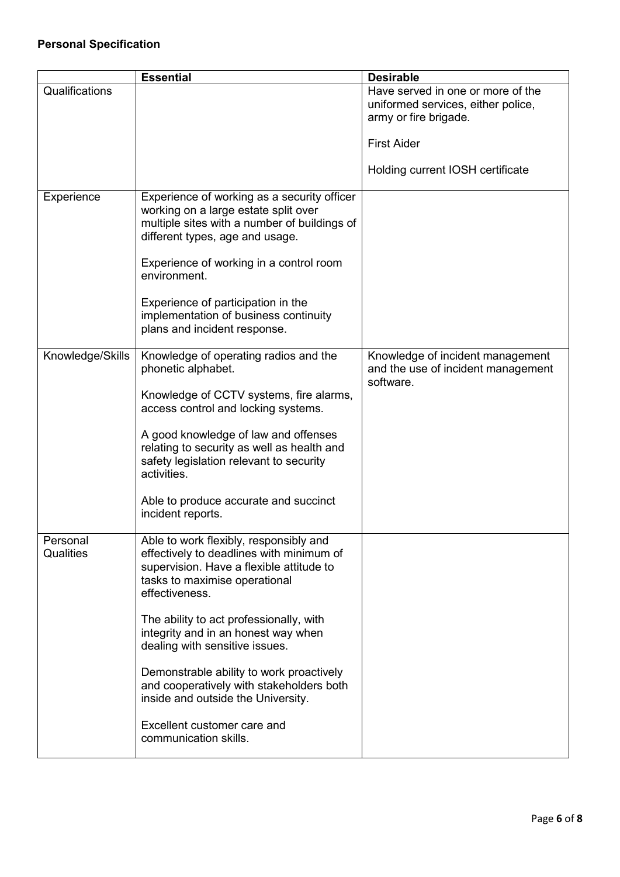|                       | <b>Essential</b>                                                                                                                                                                  | <b>Desirable</b>                                                                                 |
|-----------------------|-----------------------------------------------------------------------------------------------------------------------------------------------------------------------------------|--------------------------------------------------------------------------------------------------|
| Qualifications        |                                                                                                                                                                                   | Have served in one or more of the<br>uniformed services, either police,<br>army or fire brigade. |
|                       |                                                                                                                                                                                   | <b>First Aider</b>                                                                               |
|                       |                                                                                                                                                                                   | Holding current IOSH certificate                                                                 |
| Experience            | Experience of working as a security officer<br>working on a large estate split over<br>multiple sites with a number of buildings of<br>different types, age and usage.            |                                                                                                  |
|                       | Experience of working in a control room<br>environment.                                                                                                                           |                                                                                                  |
|                       | Experience of participation in the<br>implementation of business continuity<br>plans and incident response.                                                                       |                                                                                                  |
| Knowledge/Skills      | Knowledge of operating radios and the<br>phonetic alphabet.                                                                                                                       | Knowledge of incident management<br>and the use of incident management<br>software.              |
|                       | Knowledge of CCTV systems, fire alarms,<br>access control and locking systems.                                                                                                    |                                                                                                  |
|                       | A good knowledge of law and offenses<br>relating to security as well as health and<br>safety legislation relevant to security<br>activities.                                      |                                                                                                  |
|                       | Able to produce accurate and succinct<br>incident reports.                                                                                                                        |                                                                                                  |
| Personal<br>Qualities | Able to work flexibly, responsibly and<br>effectively to deadlines with minimum of<br>supervision. Have a flexible attitude to<br>tasks to maximise operational<br>effectiveness. |                                                                                                  |
|                       | The ability to act professionally, with<br>integrity and in an honest way when<br>dealing with sensitive issues.                                                                  |                                                                                                  |
|                       | Demonstrable ability to work proactively<br>and cooperatively with stakeholders both<br>inside and outside the University.                                                        |                                                                                                  |
|                       | Excellent customer care and<br>communication skills.                                                                                                                              |                                                                                                  |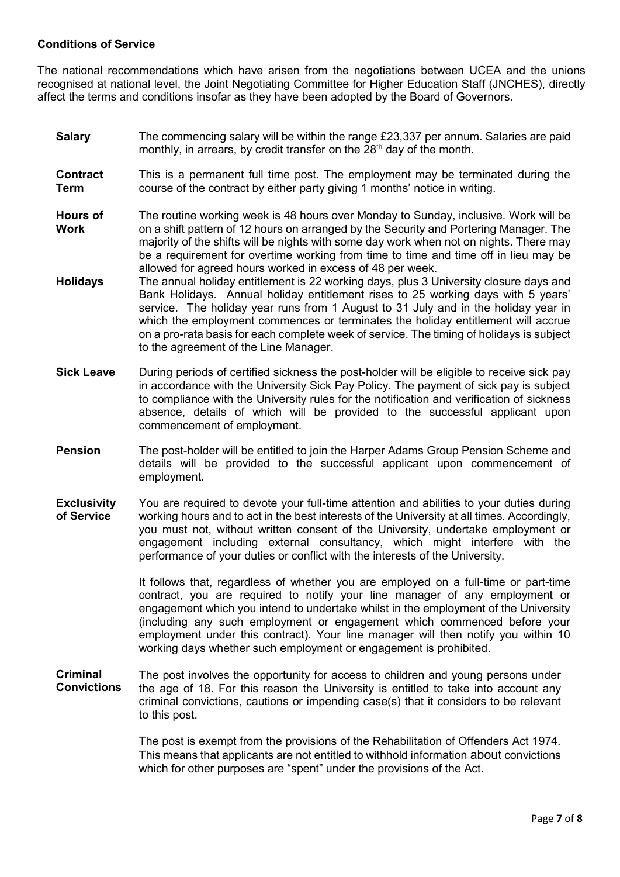### **Conditions of Service**

The national recommendations which have arisen from the negotiations between UCEA and the unions recognised at national level, the Joint Negotiating Committee for Higher Education Staff (JNCHES), directly affect the terms and conditions insofar as they have been adopted by the Board of Governors.

- **Salary** The commencing salary will be within the range £23,337 per annum. Salaries are paid monthly, in arrears, by credit transfer on the 28<sup>th</sup> day of the month.
- **Contract Term** This is a permanent full time post. The employment may be terminated during the course of the contract by either party giving 1 months' notice in writing.
- **Hours of Work** The routine working week is 48 hours over Monday to Sunday, inclusive. Work will be on a shift pattern of 12 hours on arranged by the Security and Portering Manager. The majority of the shifts will be nights with some day work when not on nights. There may be a requirement for overtime working from time to time and time off in lieu may be allowed for agreed hours worked in excess of 48 per week.
- **Holidays** The annual holiday entitlement is 22 working days, plus 3 University closure days and Bank Holidays. Annual holiday entitlement rises to 25 working days with 5 years' service. The holiday year runs from 1 August to 31 July and in the holiday year in which the employment commences or terminates the holiday entitlement will accrue on a pro-rata basis for each complete week of service. The timing of holidays is subject to the agreement of the Line Manager.
- **Sick Leave** During periods of certified sickness the post-holder will be eligible to receive sick pay in accordance with the University Sick Pay Policy. The payment of sick pay is subject to compliance with the University rules for the notification and verification of sickness absence, details of which will be provided to the successful applicant upon commencement of employment.
- **Pension** The post-holder will be entitled to join the Harper Adams Group Pension Scheme and details will be provided to the successful applicant upon commencement of employment.
- **Exclusivity of Service**  You are required to devote your full-time attention and abilities to your duties during working hours and to act in the best interests of the University at all times. Accordingly, you must not, without written consent of the University, undertake employment or engagement including external consultancy, which might interfere with the performance of your duties or conflict with the interests of the University.

It follows that, regardless of whether you are employed on a full-time or part-time contract, you are required to notify your line manager of any employment or engagement which you intend to undertake whilst in the employment of the University (including any such employment or engagement which commenced before your employment under this contract). Your line manager will then notify you within 10 working days whether such employment or engagement is prohibited.

**Criminal Convictions** The post involves the opportunity for access to children and young persons under the age of 18. For this reason the University is entitled to take into account any criminal convictions, cautions or impending case(s) that it considers to be relevant to this post.

> The post is exempt from the provisions of the Rehabilitation of Offenders Act 1974. This means that applicants are not entitled to withhold information about convictions which for other purposes are "spent" under the provisions of the Act.